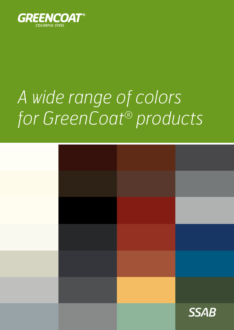

# *A wide range of colors for GreenCoat® products*

|  | <b>SSAB</b> |
|--|-------------|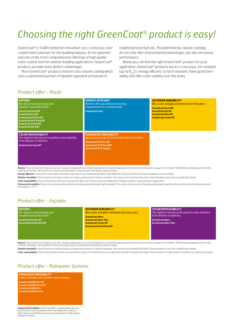# *Choosing the right GreenCoat® product is easy!*

GreenCoat® is SSAB's brand for innovative, eco-conscious color coated steel solutions for the building industry. As the greenest and one of the most comprehensive offerings of high quality color coated steel for exterior building applications, GreenCoat® products provide many distinct advantages.

Most GreenCoat® products feature a bio-based coating which uses a substantial portion of Swedish rapeseed oil instead of

traditional fossil fuel oils. The patented bio-based coatings do not only offer environmental advantages, but also increased performance.

Below you can find the right GreenCoat® product for your application. GreenCoat® products are eco-conscious, UV-resistant (up to  $R_{\text{u}}$ 5), energy efficient, scratch resistant, have good formability and offer color stability over the years.

### *Product offer - Roofs*

| <b>NATURA</b><br>Bio-based coating made with<br>Swedish rapeseed oil (BT).<br><b>GreenCoat Pural BT</b><br><b>GreenCoat Pro BT</b><br><b>GreenCoat PLX Pro BT</b><br><b>GreenCoat PLX Pural BT</b><br><b>GreenCoat Crown BT</b><br><b>GreenCoat Mica BT</b> | <b>ENERGY EFFICIENT</b><br>Reflects the sun and lowers energy<br>requirements for cooling inside.<br><b>GreenCoat Cool</b>                                                      | <b>OUTDOOR DURABILITY</b><br>Best color and gloss retention over the years.<br><b>GreenCoat Pural BT</b><br><b>GreenCoat Pro BT</b><br><b>GreenCoat Mica BT</b><br><b>GreenCoat Crown BT</b> |
|-------------------------------------------------------------------------------------------------------------------------------------------------------------------------------------------------------------------------------------------------------------|---------------------------------------------------------------------------------------------------------------------------------------------------------------------------------|----------------------------------------------------------------------------------------------------------------------------------------------------------------------------------------------|
| <b>COLOR REPEATABILITY</b><br>The tightest tolerances for perfect color matches<br>from delivery to delivery.<br><b>GreenCoat Crown BT</b>                                                                                                                  | <b>ENHANCED FORMABILITY</b><br>Specialized products for metal roofers/tinsmiths.<br><b>GreenCoat PLX Pro BT</b><br><b>GreenCoat PLX Pural BT</b><br><b>GreenCoat PLX Legacy</b> |                                                                                                                                                                                              |

**Natura:** These GreenCoat® products use a bio-based coating which uses a substantial portion of Swedish rapeseed oil instead of fossil oil, which is unique on the market. SSAB holds a worldwide patent for this<br>coating tech

*Energy Efficient: GreenCoat Cool provides you with an outer skin on your building that reflects solar radiation. Choose this when you have a building in need of cooling.*

*Outdoor durability: These GreenCoat® products have our longest guarantees for outdoor durability. They are proven to withstand decades of harsh weather, even in the tough Nordic climate.*

*Color repeatability: Choose this product when you need special, tight color tolerances for your application. Modular roofing is a typical product application.*

*Enhanced formability: Products for skilled roofing craftsmen who demand material with high formability. The steels in these products have been developed together with tinsmiths and are formable by hand – even down to -15 °C.*

## *Product offer - Façades*

| <b>NATURA</b>                                               | <b>OUTDOOR DURABILITY</b>                                                                 | <b>COLOR REPEATABILITY</b>                           |
|-------------------------------------------------------------|-------------------------------------------------------------------------------------------|------------------------------------------------------|
| Bio-based coating made with                                 | Best color and gloss retention over the years.                                            | The tightest tolerances for perfect color matches    |
| Swedish rapeseed oil (BT).                                  | <b>GreenCoat Hiarc</b>                                                                    | from delivery to delivery.                           |
| <b>GreenCoat Crown BT</b><br><b>GreenCoat Pural Farm BT</b> | <b>GreenCoat Higrc Max</b><br><b>GreenCoat Crown BT</b><br><b>GreenCoat Pural Farm BT</b> | <b>GreenCoat Hiarc</b><br><b>GreenCoat Hiarc Max</b> |

**Natura:** These GreenCoat® products use a bio-based coating which uses a substantial portion of Swedish rapeseed oil instead of fossil oil, which is unique on the market. SSAB holds a worldwide patent for this<br>coating tech

*Outdoor durability: These GreenCoat® products have our longest guarantees for outdoor durability. They are proven to withstand decades of harsh weather, even in the tough Nordic climate.*

*Color repeatability: Choose these products when you need special, tight color tolerances for your application. Besides the wide color range, these products are offered also in metallic color and special shades.*

### *Product offer - Rainwater Systems*

**ENHANCED FORMABILITY** Highly formable with double-sided coating. **GreenCoat RWS Pro BT GreenCoat RWS Pural BT GreenCoat RWS Pro GreenCoat RWS Pural**

*Enhanced formability: GreenCoat RWS is highly flexible and can be formed into various shapes without damaging the coating. It offers improved durability and has been developed for high quality rainwater systems.*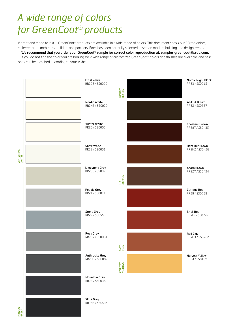# *A wide range of colors for GreenCoat® products*

Vibrant and made to last – GreenCoat® products are available in a wide range of colors. This document shows our 28 top colors, collected from architects, builders and partners. Each has been carefully selected based on modern building and design trends.

We recommend that you order your GreenCoat® sample for correct color reproduction at: samples.greencoat@ssab.com. If you do not find the color you are looking for, a wide range of customized GreenCoat® colors and finishes are available, and new ones can be matched according to your wishes.



**MINERA**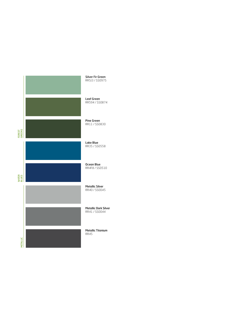

Silver Fir Green RR5J3 / SS0975

Leaf Green RR594 / SS0874

Pine Green RR11 / SS0830

Lake Blue RR35 / SS0558

Ocean Blue RR4F8 / SS0510

Metallic Silver RR40 / SS0045

Metallic Dark Silver RR41 / SS0044

Metallic Titanium RR45